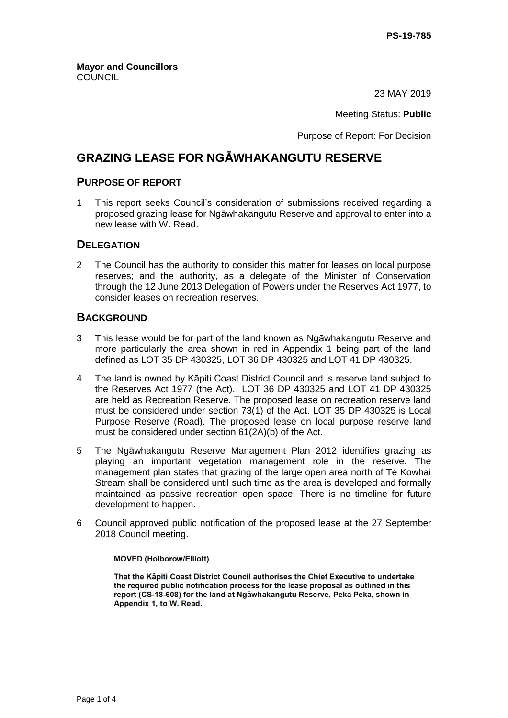23 MAY 2019

Meeting Status: **Public**

Purpose of Report: For Decision

# **GRAZING LEASE FOR NGĀWHAKANGUTU RESERVE**

#### **PURPOSE OF REPORT**

1 This report seeks Council's consideration of submissions received regarding a proposed grazing lease for Ngāwhakangutu Reserve and approval to enter into a new lease with W. Read.

#### **DELEGATION**

2 The Council has the authority to consider this matter for leases on local purpose reserves; and the authority, as a delegate of the Minister of Conservation through the 12 June 2013 Delegation of Powers under the Reserves Act 1977, to consider leases on recreation reserves.

#### **BACKGROUND**

- 3 This lease would be for part of the land known as Ngāwhakangutu Reserve and more particularly the area shown in red in Appendix 1 being part of the land defined as LOT 35 DP 430325, LOT 36 DP 430325 and LOT 41 DP 430325.
- 4 The land is owned by Kāpiti Coast District Council and is reserve land subject to the Reserves Act 1977 (the Act). LOT 36 DP 430325 and LOT 41 DP 430325 are held as Recreation Reserve. The proposed lease on recreation reserve land must be considered under section 73(1) of the Act. LOT 35 DP 430325 is Local Purpose Reserve (Road). The proposed lease on local purpose reserve land must be considered under section 61(2A)(b) of the Act.
- 5 The Ngāwhakangutu Reserve Management Plan 2012 identifies grazing as playing an important vegetation management role in the reserve. The management plan states that grazing of the large open area north of Te Kowhai Stream shall be considered until such time as the area is developed and formally maintained as passive recreation open space. There is no timeline for future development to happen.
- 6 Council approved public notification of the proposed lease at the 27 September 2018 Council meeting.

#### **MOVED (Holborow/Elliott)**

That the Käpiti Coast District Council authorises the Chief Executive to undertake the required public notification process for the lease proposal as outlined in this report (CS-18-608) for the land at Ngawhakangutu Reserve, Peka Peka, shown in Appendix 1, to W. Read.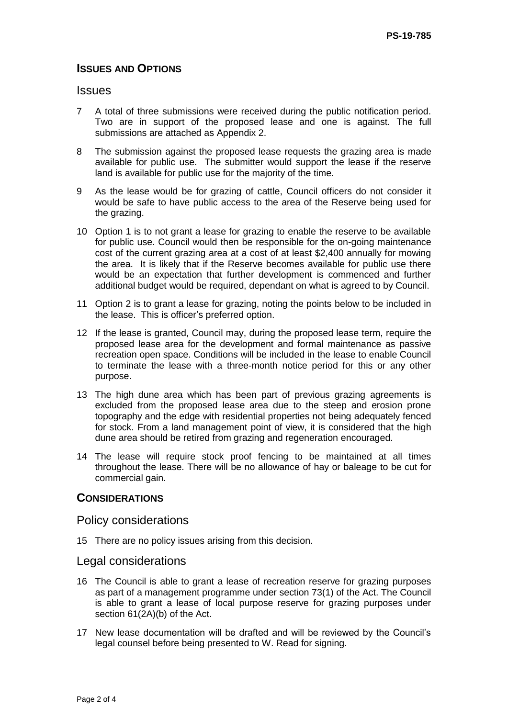## **ISSUES AND OPTIONS**

#### **Issues**

- 7 A total of three submissions were received during the public notification period. Two are in support of the proposed lease and one is against. The full submissions are attached as Appendix 2.
- 8 The submission against the proposed lease requests the grazing area is made available for public use. The submitter would support the lease if the reserve land is available for public use for the majority of the time.
- 9 As the lease would be for grazing of cattle, Council officers do not consider it would be safe to have public access to the area of the Reserve being used for the grazing.
- 10 Option 1 is to not grant a lease for grazing to enable the reserve to be available for public use. Council would then be responsible for the on-going maintenance cost of the current grazing area at a cost of at least \$2,400 annually for mowing the area. It is likely that if the Reserve becomes available for public use there would be an expectation that further development is commenced and further additional budget would be required, dependant on what is agreed to by Council.
- 11 Option 2 is to grant a lease for grazing, noting the points below to be included in the lease. This is officer's preferred option.
- 12 If the lease is granted, Council may, during the proposed lease term, require the proposed lease area for the development and formal maintenance as passive recreation open space. Conditions will be included in the lease to enable Council to terminate the lease with a three-month notice period for this or any other purpose.
- 13 The high dune area which has been part of previous grazing agreements is excluded from the proposed lease area due to the steep and erosion prone topography and the edge with residential properties not being adequately fenced for stock. From a land management point of view, it is considered that the high dune area should be retired from grazing and regeneration encouraged.
- 14 The lease will require stock proof fencing to be maintained at all times throughout the lease. There will be no allowance of hay or baleage to be cut for commercial gain.

#### **CONSIDERATIONS**

#### Policy considerations

15 There are no policy issues arising from this decision.

#### Legal considerations

- 16 The Council is able to grant a lease of recreation reserve for grazing purposes as part of a management programme under section 73(1) of the Act. The Council is able to grant a lease of local purpose reserve for grazing purposes under section 61(2A)(b) of the Act.
- 17 New lease documentation will be drafted and will be reviewed by the Council's legal counsel before being presented to W. Read for signing.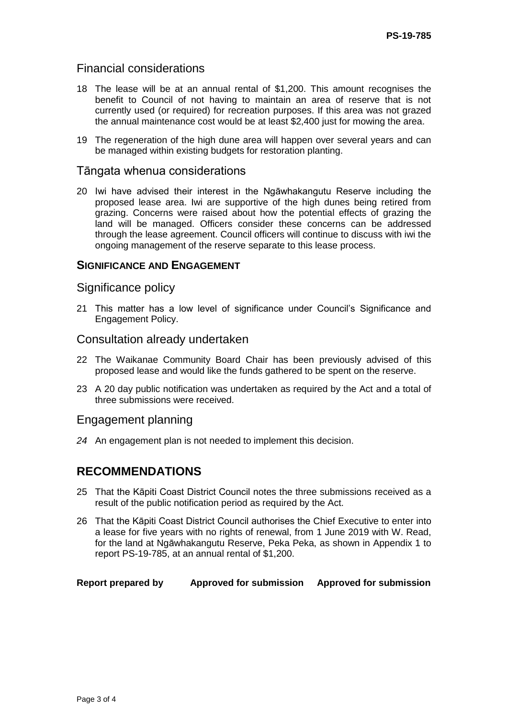### Financial considerations

- 18 The lease will be at an annual rental of \$1,200. This amount recognises the benefit to Council of not having to maintain an area of reserve that is not currently used (or required) for recreation purposes. If this area was not grazed the annual maintenance cost would be at least \$2,400 just for mowing the area.
- 19 The regeneration of the high dune area will happen over several years and can be managed within existing budgets for restoration planting.

#### Tāngata whenua considerations

20 Iwi have advised their interest in the Ngāwhakangutu Reserve including the proposed lease area. Iwi are supportive of the high dunes being retired from grazing. Concerns were raised about how the potential effects of grazing the land will be managed. Officers consider these concerns can be addressed through the lease agreement. Council officers will continue to discuss with iwi the ongoing management of the reserve separate to this lease process.

#### **SIGNIFICANCE AND ENGAGEMENT**

#### Significance policy

21 This matter has a low level of significance under Council's Significance and Engagement Policy.

#### Consultation already undertaken

- 22 The Waikanae Community Board Chair has been previously advised of this proposed lease and would like the funds gathered to be spent on the reserve.
- 23 A 20 day public notification was undertaken as required by the Act and a total of three submissions were received.

#### Engagement planning

*24* An engagement plan is not needed to implement this decision.

## **RECOMMENDATIONS**

- 25 That the Kāpiti Coast District Council notes the three submissions received as a result of the public notification period as required by the Act.
- 26 That the Kāpiti Coast District Council authorises the Chief Executive to enter into a lease for five years with no rights of renewal, from 1 June 2019 with W. Read, for the land at Ngāwhakangutu Reserve, Peka Peka, as shown in Appendix 1 to report PS-19-785, at an annual rental of \$1,200.

**Report prepared by Approved for submission Approved for submission**